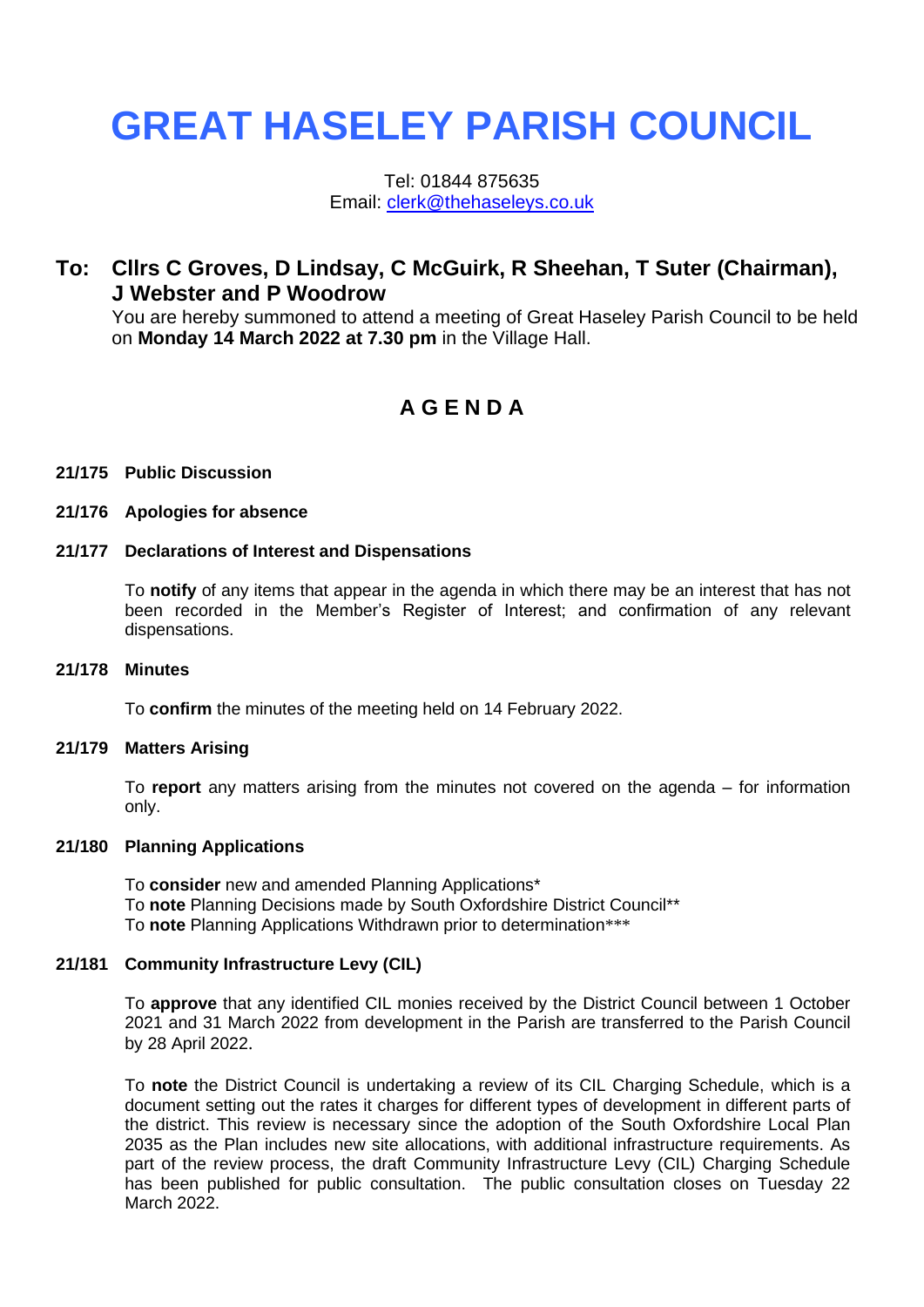# **GREAT HASELEY PARISH COUNCIL**

Tel: 01844 875635 Email: [clerk@thehaseleys.co.uk](mailto:clerk@thehaseleys.co.uk)

# **To: Cllrs C Groves, D Lindsay, C McGuirk, R Sheehan, T Suter (Chairman), J Webster and P Woodrow**

You are hereby summoned to attend a meeting of Great Haseley Parish Council to be held on **Monday 14 March 2022 at 7.30 pm** in the Village Hall.

# **A G E N D A**

## **21/175 Public Discussion**

#### **21/176 Apologies for absence**

# **21/177 Declarations of Interest and Dispensations**

To **notify** of any items that appear in the agenda in which there may be an interest that has not been recorded in the Member's Register of Interest; and confirmation of any relevant dispensations.

#### **21/178 Minutes**

To **confirm** the minutes of the meeting held on 14 February 2022.

#### **21/179 Matters Arising**

To **report** any matters arising from the minutes not covered on the agenda – for information only.

#### **21/180 Planning Applications**

To **consider** new and amended Planning Applications\* To **note** Planning Decisions made by South Oxfordshire District Council\*\* To **note** Planning Applications Withdrawn prior to determination\*\*\*

#### **21/181 Community Infrastructure Levy (CIL)**

To **approve** that any identified CIL monies received by the District Council between 1 October 2021 and 31 March 2022 from development in the Parish are transferred to the Parish Council by 28 April 2022.

To **note** the District Council is undertaking a review of its CIL Charging Schedule, which is a document setting out the rates it charges for different types of development in different parts of the district. This review is necessary since the adoption of the South Oxfordshire Local Plan 2035 as the Plan includes new site allocations, with additional infrastructure requirements. As part of the review process, the draft Community Infrastructure Levy (CIL) Charging Schedule has been published for public consultation. The public consultation closes on Tuesday 22 March 2022.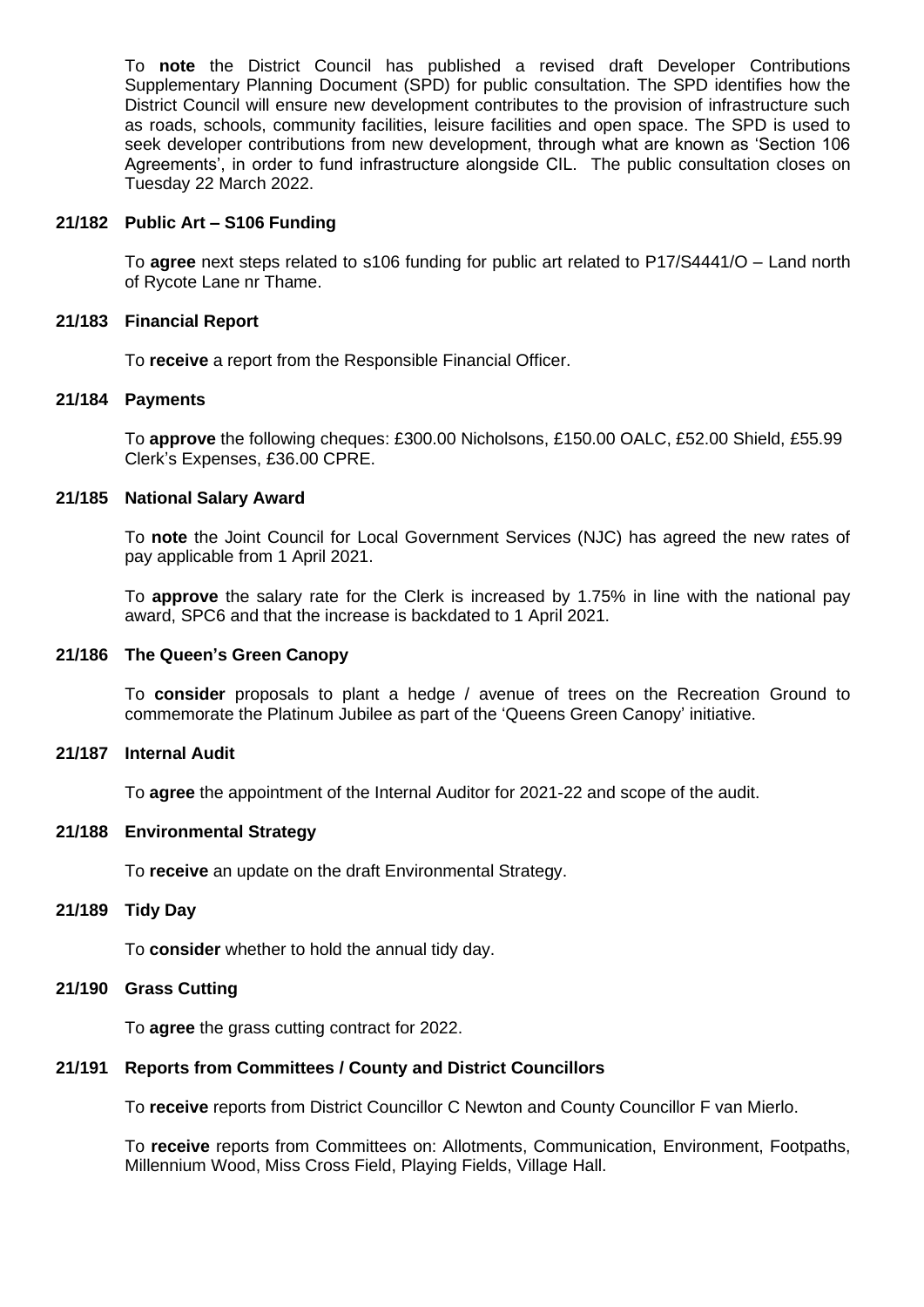To **note** the District Council has published a revised draft Developer Contributions Supplementary Planning Document (SPD) for public consultation. The SPD identifies how the District Council will ensure new development contributes to the provision of infrastructure such as roads, schools, community facilities, leisure facilities and open space. The SPD is used to seek developer contributions from new development, through what are known as 'Section 106 Agreements', in order to fund infrastructure alongside CIL. The public consultation closes on Tuesday 22 March 2022.

#### **21/182 Public Art – S106 Funding**

To **agree** next steps related to s106 funding for public art related to P17/S4441/O – Land north of Rycote Lane nr Thame.

## **21/183 Financial Report**

To **receive** a report from the Responsible Financial Officer.

# **21/184 Payments**

To **approve** the following cheques: £300.00 Nicholsons, £150.00 OALC, £52.00 Shield, £55.99 Clerk's Expenses, £36.00 CPRE.

# **21/185 National Salary Award**

To **note** the Joint Council for Local Government Services (NJC) has agreed the new rates of pay applicable from 1 April 2021.

To **approve** the salary rate for the Clerk is increased by 1.75% in line with the national pay award, SPC6 and that the increase is backdated to 1 April 2021.

# **21/186 The Queen's Green Canopy**

To **consider** proposals to plant a hedge / avenue of trees on the Recreation Ground to commemorate the Platinum Jubilee as part of the 'Queens Green Canopy' initiative.

#### **21/187 Internal Audit**

To **agree** the appointment of the Internal Auditor for 2021-22 and scope of the audit.

# **21/188 Environmental Strategy**

To **receive** an update on the draft Environmental Strategy.

## **21/189 Tidy Day**

To **consider** whether to hold the annual tidy day.

# **21/190 Grass Cutting**

To **agree** the grass cutting contract for 2022.

# **21/191 Reports from Committees / County and District Councillors**

To **receive** reports from District Councillor C Newton and County Councillor F van Mierlo.

To **receive** reports from Committees on: Allotments, Communication, Environment, Footpaths, Millennium Wood, Miss Cross Field, Playing Fields, Village Hall.